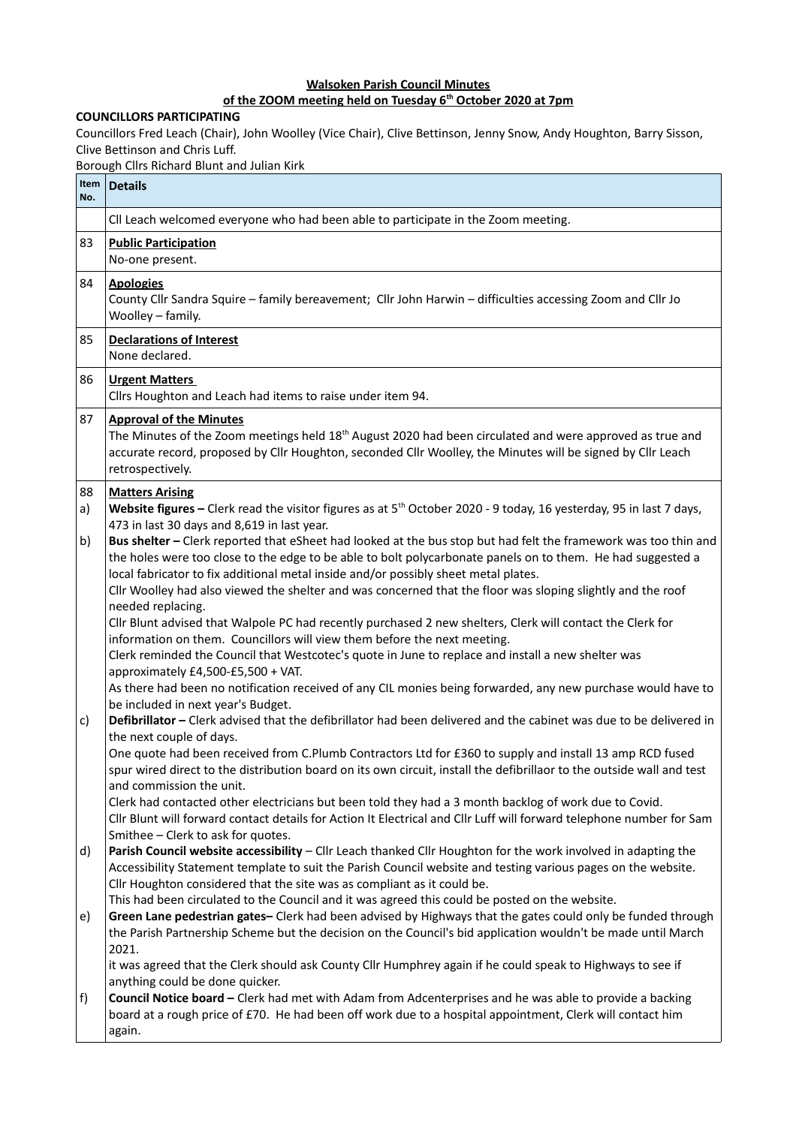## **Walsoken Parish Council Minutes**

## **of the ZOOM meeting held on Tuesday 6th October 2020 at 7pm**

## **COUNCILLORS PARTICIPATING**

Councillors Fred Leach (Chair), John Woolley (Vice Chair), Clive Bettinson, Jenny Snow, Andy Houghton, Barry Sisson, Clive Bettinson and Chris Luff.

Borough Cllrs Richard Blunt and Julian Kirk

| Item<br>No. | <b>Details</b>                                                                                                                                                                                                                                                                                                                                                                                                                                                                                                                                                                                                                                      |
|-------------|-----------------------------------------------------------------------------------------------------------------------------------------------------------------------------------------------------------------------------------------------------------------------------------------------------------------------------------------------------------------------------------------------------------------------------------------------------------------------------------------------------------------------------------------------------------------------------------------------------------------------------------------------------|
|             | CII Leach welcomed everyone who had been able to participate in the Zoom meeting.                                                                                                                                                                                                                                                                                                                                                                                                                                                                                                                                                                   |
| 83          | <b>Public Participation</b><br>No-one present.                                                                                                                                                                                                                                                                                                                                                                                                                                                                                                                                                                                                      |
| 84          | <b>Apologies</b><br>County Cllr Sandra Squire - family bereavement; Cllr John Harwin - difficulties accessing Zoom and Cllr Jo<br>Woolley - family.                                                                                                                                                                                                                                                                                                                                                                                                                                                                                                 |
| 85          | <b>Declarations of Interest</b><br>None declared.                                                                                                                                                                                                                                                                                                                                                                                                                                                                                                                                                                                                   |
| 86          | <b>Urgent Matters</b><br>Cllrs Houghton and Leach had items to raise under item 94.                                                                                                                                                                                                                                                                                                                                                                                                                                                                                                                                                                 |
| 87          | <b>Approval of the Minutes</b><br>The Minutes of the Zoom meetings held 18 <sup>th</sup> August 2020 had been circulated and were approved as true and<br>accurate record, proposed by Cllr Houghton, seconded Cllr Woolley, the Minutes will be signed by Cllr Leach<br>retrospectively.                                                                                                                                                                                                                                                                                                                                                           |
| 88<br>a)    | <b>Matters Arising</b><br>Website figures - Clerk read the visitor figures as at 5 <sup>th</sup> October 2020 - 9 today, 16 yesterday, 95 in last 7 days,<br>473 in last 30 days and 8,619 in last year.                                                                                                                                                                                                                                                                                                                                                                                                                                            |
| b)          | Bus shelter - Clerk reported that eSheet had looked at the bus stop but had felt the framework was too thin and<br>the holes were too close to the edge to be able to bolt polycarbonate panels on to them. He had suggested a<br>local fabricator to fix additional metal inside and/or possibly sheet metal plates.<br>Cllr Woolley had also viewed the shelter and was concerned that the floor was sloping slightly and the roof<br>needed replacing.<br>Cllr Blunt advised that Walpole PC had recently purchased 2 new shelters, Clerk will contact the Clerk for<br>information on them. Councillors will view them before the next meeting. |
| c)          | Clerk reminded the Council that Westcotec's quote in June to replace and install a new shelter was<br>approximately £4,500-£5,500 + VAT.<br>As there had been no notification received of any CIL monies being forwarded, any new purchase would have to<br>be included in next year's Budget.<br>Defibrillator - Clerk advised that the defibrillator had been delivered and the cabinet was due to be delivered in                                                                                                                                                                                                                                |
|             | the next couple of days.<br>One quote had been received from C.Plumb Contractors Ltd for £360 to supply and install 13 amp RCD fused<br>spur wired direct to the distribution board on its own circuit, install the defibrillaor to the outside wall and test<br>and commission the unit.<br>Clerk had contacted other electricians but been told they had a 3 month backlog of work due to Covid.<br>Cllr Blunt will forward contact details for Action It Electrical and Cllr Luff will forward telephone number for Sam                                                                                                                          |
| d)          | Smithee - Clerk to ask for quotes.<br>Parish Council website accessibility - Cllr Leach thanked Cllr Houghton for the work involved in adapting the<br>Accessibility Statement template to suit the Parish Council website and testing various pages on the website.<br>Cllr Houghton considered that the site was as compliant as it could be.                                                                                                                                                                                                                                                                                                     |
| e)          | This had been circulated to the Council and it was agreed this could be posted on the website.<br>Green Lane pedestrian gates- Clerk had been advised by Highways that the gates could only be funded through<br>the Parish Partnership Scheme but the decision on the Council's bid application wouldn't be made until March<br>2021.                                                                                                                                                                                                                                                                                                              |
| f)          | it was agreed that the Clerk should ask County Cllr Humphrey again if he could speak to Highways to see if<br>anything could be done quicker.<br>Council Notice board - Clerk had met with Adam from Adcenterprises and he was able to provide a backing<br>board at a rough price of £70. He had been off work due to a hospital appointment, Clerk will contact him<br>again.                                                                                                                                                                                                                                                                     |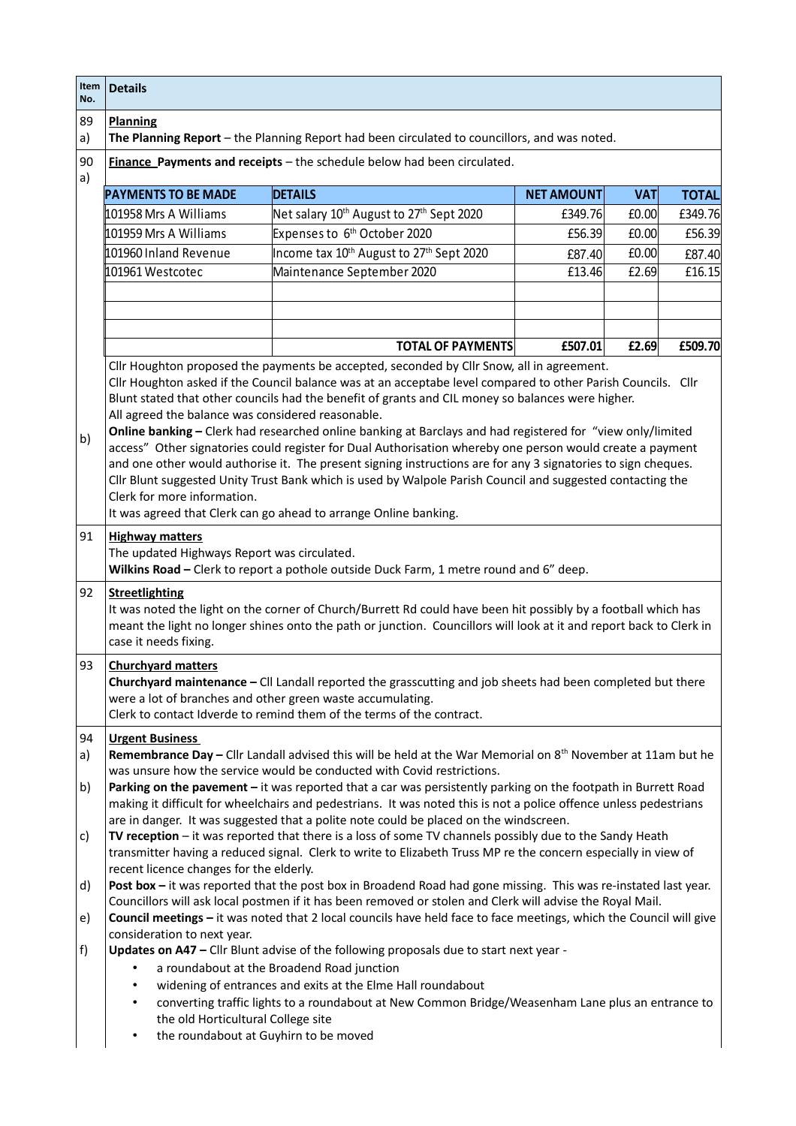| Item<br>No. | <b>Details</b>                                                                                                                                                                                                                                                                                                              |                                                                                                                                                                                                                           |                   |            |              |  |
|-------------|-----------------------------------------------------------------------------------------------------------------------------------------------------------------------------------------------------------------------------------------------------------------------------------------------------------------------------|---------------------------------------------------------------------------------------------------------------------------------------------------------------------------------------------------------------------------|-------------------|------------|--------------|--|
| 89<br>a)    | <b>Planning</b>                                                                                                                                                                                                                                                                                                             | The Planning Report - the Planning Report had been circulated to councillors, and was noted.                                                                                                                              |                   |            |              |  |
| 90<br>a)    |                                                                                                                                                                                                                                                                                                                             | Finance Payments and receipts - the schedule below had been circulated.                                                                                                                                                   |                   |            |              |  |
|             | <b>PAYMENTS TO BE MADE</b>                                                                                                                                                                                                                                                                                                  | <b>DETAILS</b>                                                                                                                                                                                                            | <b>NET AMOUNT</b> | <b>VAT</b> | <b>TOTAL</b> |  |
|             | 101958 Mrs A Williams                                                                                                                                                                                                                                                                                                       | Net salary 10 <sup>th</sup> August to 27 <sup>th</sup> Sept 2020                                                                                                                                                          | £349.76           | £0.00      | £349.76      |  |
|             | 101959 Mrs A Williams                                                                                                                                                                                                                                                                                                       | Expenses to 6 <sup>th</sup> October 2020                                                                                                                                                                                  | £56.39            | £0.00      | £56.39       |  |
|             | 101960 Inland Revenue                                                                                                                                                                                                                                                                                                       | Income tax 10 <sup>th</sup> August to 27 <sup>th</sup> Sept 2020                                                                                                                                                          | £87.40            | £0.00      | £87.40       |  |
|             | 101961 Westcotec                                                                                                                                                                                                                                                                                                            | Maintenance September 2020                                                                                                                                                                                                | £13.46            | £2.69      | £16.15       |  |
|             |                                                                                                                                                                                                                                                                                                                             |                                                                                                                                                                                                                           |                   |            |              |  |
|             |                                                                                                                                                                                                                                                                                                                             |                                                                                                                                                                                                                           |                   |            |              |  |
|             |                                                                                                                                                                                                                                                                                                                             |                                                                                                                                                                                                                           |                   |            |              |  |
|             |                                                                                                                                                                                                                                                                                                                             | <b>TOTAL OF PAYMENTS</b>                                                                                                                                                                                                  | £507.01           | £2.69      | £509.70      |  |
|             |                                                                                                                                                                                                                                                                                                                             | Cllr Houghton proposed the payments be accepted, seconded by Cllr Snow, all in agreement.                                                                                                                                 |                   |            |              |  |
|             |                                                                                                                                                                                                                                                                                                                             | Cllr Houghton asked if the Council balance was at an acceptabe level compared to other Parish Councils. Cllr                                                                                                              |                   |            |              |  |
|             |                                                                                                                                                                                                                                                                                                                             | Blunt stated that other councils had the benefit of grants and CIL money so balances were higher.                                                                                                                         |                   |            |              |  |
|             | All agreed the balance was considered reasonable.                                                                                                                                                                                                                                                                           | Online banking - Clerk had researched online banking at Barclays and had registered for "view only/limited                                                                                                                |                   |            |              |  |
| b)          |                                                                                                                                                                                                                                                                                                                             | access" Other signatories could register for Dual Authorisation whereby one person would create a payment                                                                                                                 |                   |            |              |  |
|             |                                                                                                                                                                                                                                                                                                                             | and one other would authorise it. The present signing instructions are for any 3 signatories to sign cheques.                                                                                                             |                   |            |              |  |
|             |                                                                                                                                                                                                                                                                                                                             | Cllr Blunt suggested Unity Trust Bank which is used by Walpole Parish Council and suggested contacting the                                                                                                                |                   |            |              |  |
|             | Clerk for more information.                                                                                                                                                                                                                                                                                                 |                                                                                                                                                                                                                           |                   |            |              |  |
|             |                                                                                                                                                                                                                                                                                                                             | It was agreed that Clerk can go ahead to arrange Online banking.                                                                                                                                                          |                   |            |              |  |
| 91          | <b>Highway matters</b><br>The updated Highways Report was circulated.<br>Wilkins Road - Clerk to report a pothole outside Duck Farm, 1 metre round and 6" deep.                                                                                                                                                             |                                                                                                                                                                                                                           |                   |            |              |  |
| 92          | <b>Streetlighting</b><br>It was noted the light on the corner of Church/Burrett Rd could have been hit possibly by a football which has<br>meant the light no longer shines onto the path or junction. Councillors will look at it and report back to Clerk in<br>case it needs fixing.                                     |                                                                                                                                                                                                                           |                   |            |              |  |
| 93          | <b>Churchyard matters</b><br>Churchyard maintenance - Cll Landall reported the grasscutting and job sheets had been completed but there<br>were a lot of branches and other green waste accumulating.<br>Clerk to contact Idverde to remind them of the terms of the contract.                                              |                                                                                                                                                                                                                           |                   |            |              |  |
| 94          | <b>Urgent Business</b>                                                                                                                                                                                                                                                                                                      |                                                                                                                                                                                                                           |                   |            |              |  |
| a)          | Remembrance Day - Cllr Landall advised this will be held at the War Memorial on 8 <sup>th</sup> November at 11am but he                                                                                                                                                                                                     |                                                                                                                                                                                                                           |                   |            |              |  |
|             |                                                                                                                                                                                                                                                                                                                             | was unsure how the service would be conducted with Covid restrictions.                                                                                                                                                    |                   |            |              |  |
| b)          | Parking on the pavement - it was reported that a car was persistently parking on the footpath in Burrett Road<br>making it difficult for wheelchairs and pedestrians. It was noted this is not a police offence unless pedestrians<br>are in danger. It was suggested that a polite note could be placed on the windscreen. |                                                                                                                                                                                                                           |                   |            |              |  |
| c)          |                                                                                                                                                                                                                                                                                                                             | TV reception - it was reported that there is a loss of some TV channels possibly due to the Sandy Heath<br>transmitter having a reduced signal. Clerk to write to Elizabeth Truss MP re the concern especially in view of |                   |            |              |  |
|             | recent licence changes for the elderly.                                                                                                                                                                                                                                                                                     |                                                                                                                                                                                                                           |                   |            |              |  |
| d)          |                                                                                                                                                                                                                                                                                                                             | Post box - it was reported that the post box in Broadend Road had gone missing. This was re-instated last year.                                                                                                           |                   |            |              |  |
| e)          | Councillors will ask local postmen if it has been removed or stolen and Clerk will advise the Royal Mail.<br>Council meetings - it was noted that 2 local councils have held face to face meetings, which the Council will give                                                                                             |                                                                                                                                                                                                                           |                   |            |              |  |
| f)          | consideration to next year.<br>Updates on A47 - Cllr Blunt advise of the following proposals due to start next year -                                                                                                                                                                                                       |                                                                                                                                                                                                                           |                   |            |              |  |
|             | a roundabout at the Broadend Road junction                                                                                                                                                                                                                                                                                  |                                                                                                                                                                                                                           |                   |            |              |  |
|             |                                                                                                                                                                                                                                                                                                                             | widening of entrances and exits at the Elme Hall roundabout<br>converting traffic lights to a roundabout at New Common Bridge/Weasenham Lane plus an entrance to                                                          |                   |            |              |  |
|             | the old Horticultural College site<br>the roundabout at Guyhirn to be moved<br>٠                                                                                                                                                                                                                                            |                                                                                                                                                                                                                           |                   |            |              |  |
|             |                                                                                                                                                                                                                                                                                                                             |                                                                                                                                                                                                                           |                   |            |              |  |